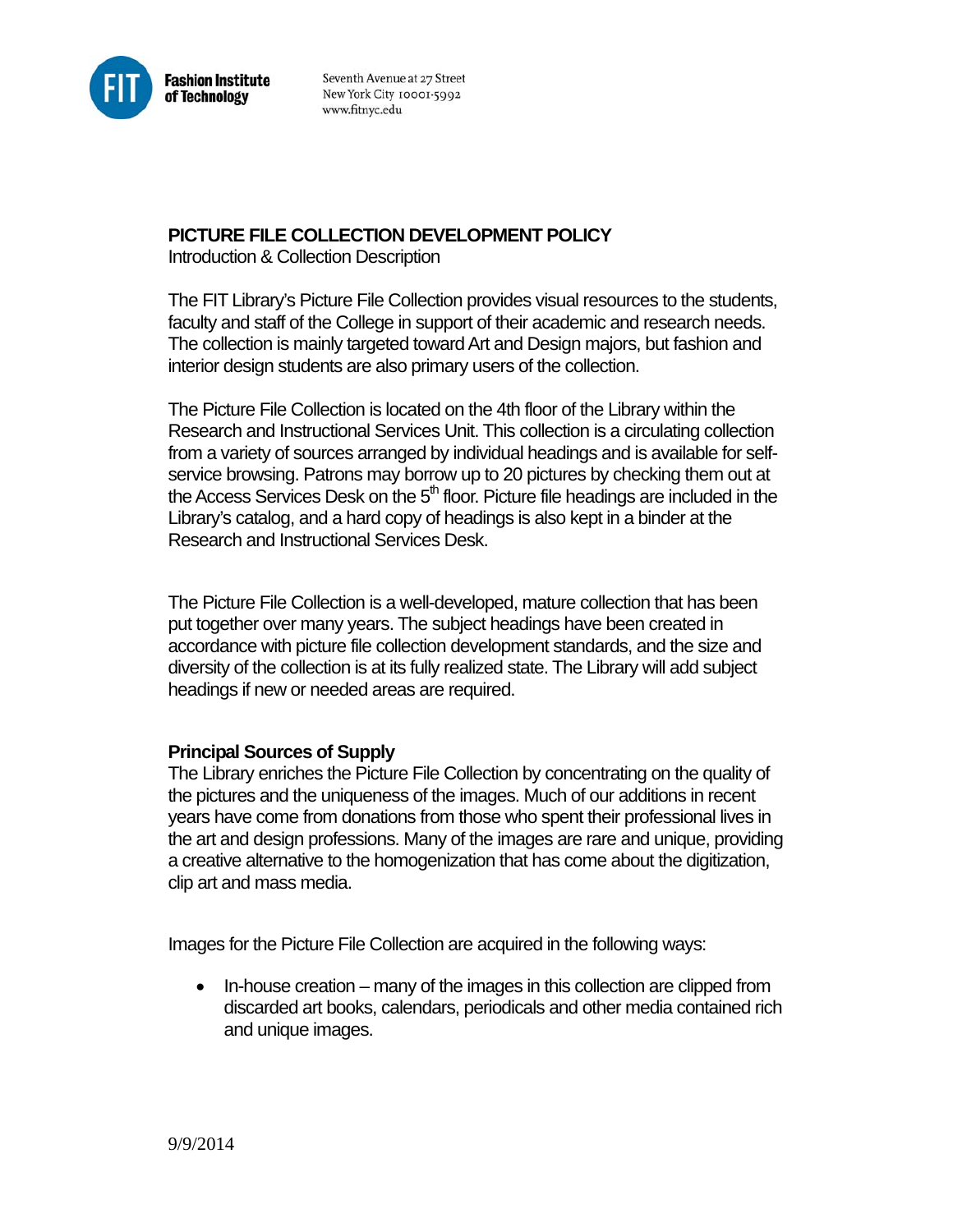

Seventh Avenue at 27 Street New York City 10001-5992 www.fitnyc.edu

## **PICTURE FILE COLLECTION DEVELOPMENT POLICY**

Introduction & Collection Description

The FIT Library's Picture File Collection provides visual resources to the students, faculty and staff of the College in support of their academic and research needs. The collection is mainly targeted toward Art and Design majors, but fashion and interior design students are also primary users of the collection.

The Picture File Collection is located on the 4th floor of the Library within the Research and Instructional Services Unit. This collection is a circulating collection from a variety of sources arranged by individual headings and is available for selfservice browsing. Patrons may borrow up to 20 pictures by checking them out at the Access Services Desk on the  $5<sup>th</sup>$  floor. Picture file headings are included in the Library's catalog, and a hard copy of headings is also kept in a binder at the Research and Instructional Services Desk.

The Picture File Collection is a well-developed, mature collection that has been put together over many years. The subject headings have been created in accordance with picture file collection development standards, and the size and diversity of the collection is at its fully realized state. The Library will add subject headings if new or needed areas are required.

## **Principal Sources of Supply**

The Library enriches the Picture File Collection by concentrating on the quality of the pictures and the uniqueness of the images. Much of our additions in recent years have come from donations from those who spent their professional lives in the art and design professions. Many of the images are rare and unique, providing a creative alternative to the homogenization that has come about the digitization, clip art and mass media.

Images for the Picture File Collection are acquired in the following ways:

 $\bullet$  In-house creation – many of the images in this collection are clipped from discarded art books, calendars, periodicals and other media contained rich and unique images.